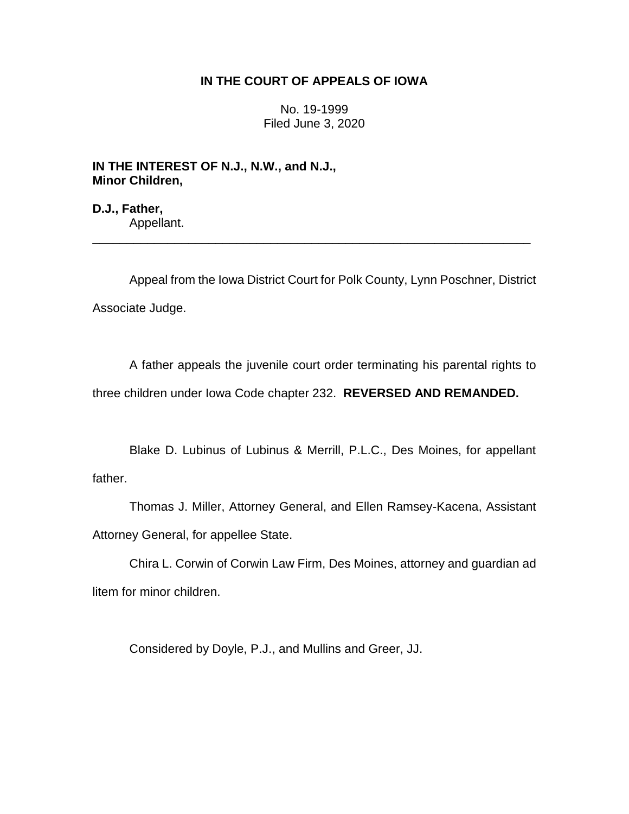## **IN THE COURT OF APPEALS OF IOWA**

No. 19-1999 Filed June 3, 2020

**IN THE INTEREST OF N.J., N.W., and N.J., Minor Children,**

**D.J., Father,** Appellant. \_\_\_\_\_\_\_\_\_\_\_\_\_\_\_\_\_\_\_\_\_\_\_\_\_\_\_\_\_\_\_\_\_\_\_\_\_\_\_\_\_\_\_\_\_\_\_\_\_\_\_\_\_\_\_\_\_\_\_\_\_\_\_\_

Appeal from the Iowa District Court for Polk County, Lynn Poschner, District Associate Judge.

A father appeals the juvenile court order terminating his parental rights to three children under Iowa Code chapter 232. **REVERSED AND REMANDED.**

Blake D. Lubinus of Lubinus & Merrill, P.L.C., Des Moines, for appellant father.

Thomas J. Miller, Attorney General, and Ellen Ramsey-Kacena, Assistant Attorney General, for appellee State.

Chira L. Corwin of Corwin Law Firm, Des Moines, attorney and guardian ad litem for minor children.

Considered by Doyle, P.J., and Mullins and Greer, JJ.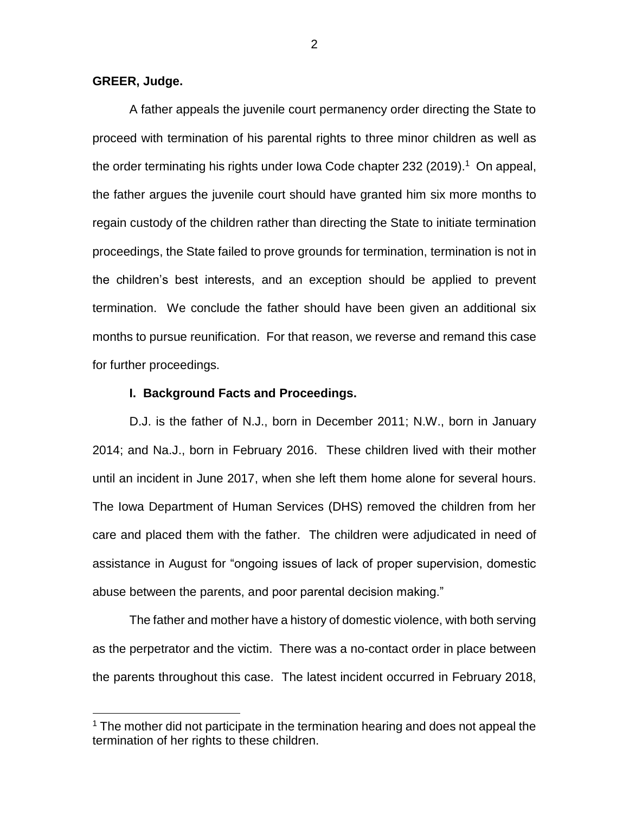### **GREER, Judge.**

 $\overline{a}$ 

A father appeals the juvenile court permanency order directing the State to proceed with termination of his parental rights to three minor children as well as the order terminating his rights under Iowa Code chapter 232 (2019).<sup>1</sup> On appeal, the father argues the juvenile court should have granted him six more months to regain custody of the children rather than directing the State to initiate termination proceedings, the State failed to prove grounds for termination, termination is not in the children's best interests, and an exception should be applied to prevent termination. We conclude the father should have been given an additional six months to pursue reunification. For that reason, we reverse and remand this case for further proceedings.

### **I. Background Facts and Proceedings.**

D.J. is the father of N.J., born in December 2011; N.W., born in January 2014; and Na.J., born in February 2016. These children lived with their mother until an incident in June 2017, when she left them home alone for several hours. The Iowa Department of Human Services (DHS) removed the children from her care and placed them with the father. The children were adjudicated in need of assistance in August for "ongoing issues of lack of proper supervision, domestic abuse between the parents, and poor parental decision making."

The father and mother have a history of domestic violence, with both serving as the perpetrator and the victim. There was a no-contact order in place between the parents throughout this case. The latest incident occurred in February 2018,

 $1$  The mother did not participate in the termination hearing and does not appeal the termination of her rights to these children.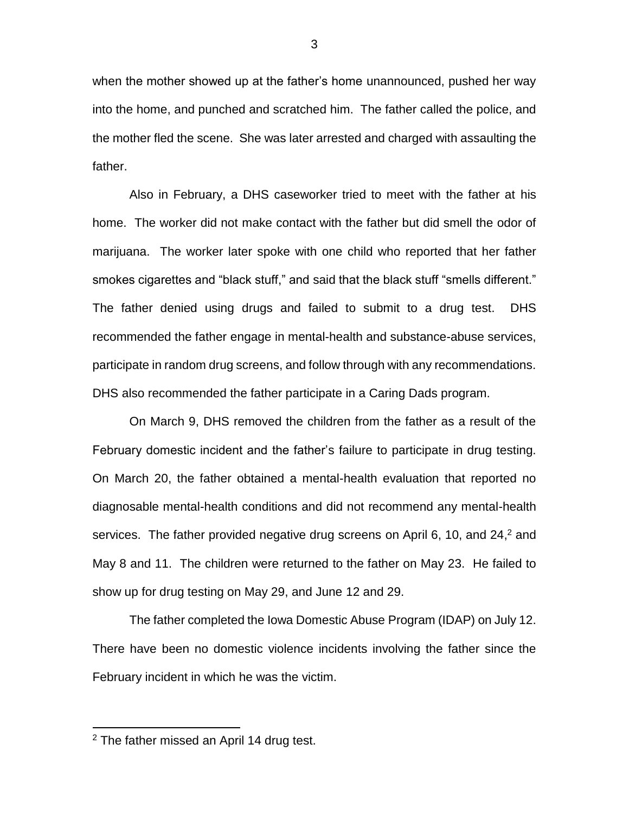when the mother showed up at the father's home unannounced, pushed her way into the home, and punched and scratched him. The father called the police, and the mother fled the scene. She was later arrested and charged with assaulting the father.

Also in February, a DHS caseworker tried to meet with the father at his home. The worker did not make contact with the father but did smell the odor of marijuana. The worker later spoke with one child who reported that her father smokes cigarettes and "black stuff," and said that the black stuff "smells different." The father denied using drugs and failed to submit to a drug test. DHS recommended the father engage in mental-health and substance-abuse services, participate in random drug screens, and follow through with any recommendations. DHS also recommended the father participate in a Caring Dads program.

On March 9, DHS removed the children from the father as a result of the February domestic incident and the father's failure to participate in drug testing. On March 20, the father obtained a mental-health evaluation that reported no diagnosable mental-health conditions and did not recommend any mental-health services. The father provided negative drug screens on April 6, 10, and 24,<sup>2</sup> and May 8 and 11. The children were returned to the father on May 23. He failed to show up for drug testing on May 29, and June 12 and 29.

The father completed the Iowa Domestic Abuse Program (IDAP) on July 12. There have been no domestic violence incidents involving the father since the February incident in which he was the victim.

 $2$  The father missed an April 14 drug test.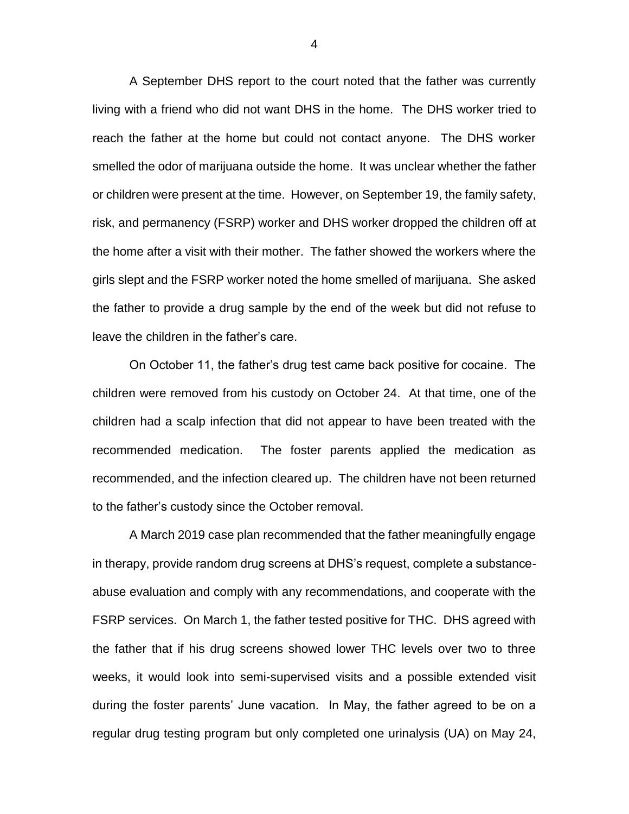A September DHS report to the court noted that the father was currently living with a friend who did not want DHS in the home. The DHS worker tried to reach the father at the home but could not contact anyone. The DHS worker smelled the odor of marijuana outside the home. It was unclear whether the father or children were present at the time. However, on September 19, the family safety, risk, and permanency (FSRP) worker and DHS worker dropped the children off at the home after a visit with their mother. The father showed the workers where the girls slept and the FSRP worker noted the home smelled of marijuana. She asked the father to provide a drug sample by the end of the week but did not refuse to leave the children in the father's care.

On October 11, the father's drug test came back positive for cocaine. The children were removed from his custody on October 24. At that time, one of the children had a scalp infection that did not appear to have been treated with the recommended medication. The foster parents applied the medication as recommended, and the infection cleared up. The children have not been returned to the father's custody since the October removal.

A March 2019 case plan recommended that the father meaningfully engage in therapy, provide random drug screens at DHS's request, complete a substanceabuse evaluation and comply with any recommendations, and cooperate with the FSRP services. On March 1, the father tested positive for THC. DHS agreed with the father that if his drug screens showed lower THC levels over two to three weeks, it would look into semi-supervised visits and a possible extended visit during the foster parents' June vacation. In May, the father agreed to be on a regular drug testing program but only completed one urinalysis (UA) on May 24,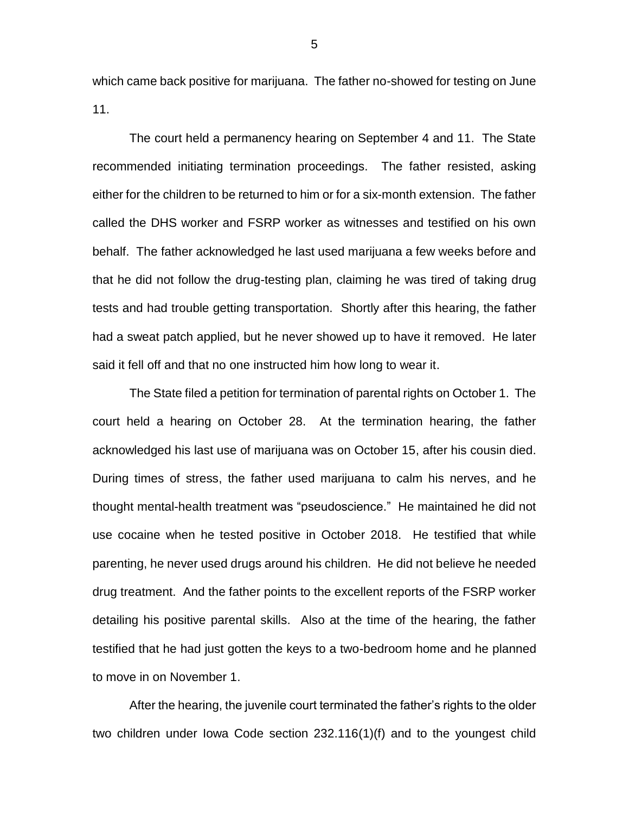which came back positive for marijuana. The father no-showed for testing on June 11.

The court held a permanency hearing on September 4 and 11. The State recommended initiating termination proceedings. The father resisted, asking either for the children to be returned to him or for a six-month extension. The father called the DHS worker and FSRP worker as witnesses and testified on his own behalf. The father acknowledged he last used marijuana a few weeks before and that he did not follow the drug-testing plan, claiming he was tired of taking drug tests and had trouble getting transportation. Shortly after this hearing, the father had a sweat patch applied, but he never showed up to have it removed. He later said it fell off and that no one instructed him how long to wear it.

The State filed a petition for termination of parental rights on October 1. The court held a hearing on October 28. At the termination hearing, the father acknowledged his last use of marijuana was on October 15, after his cousin died. During times of stress, the father used marijuana to calm his nerves, and he thought mental-health treatment was "pseudoscience." He maintained he did not use cocaine when he tested positive in October 2018. He testified that while parenting, he never used drugs around his children. He did not believe he needed drug treatment. And the father points to the excellent reports of the FSRP worker detailing his positive parental skills. Also at the time of the hearing, the father testified that he had just gotten the keys to a two-bedroom home and he planned to move in on November 1.

After the hearing, the juvenile court terminated the father's rights to the older two children under Iowa Code section 232.116(1)(f) and to the youngest child

5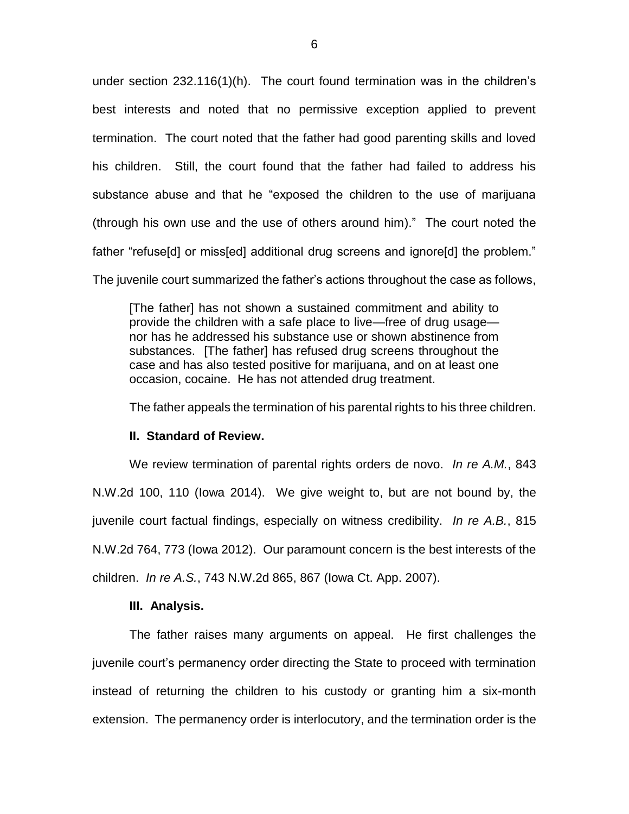under section 232.116(1)(h). The court found termination was in the children's best interests and noted that no permissive exception applied to prevent termination. The court noted that the father had good parenting skills and loved his children. Still, the court found that the father had failed to address his substance abuse and that he "exposed the children to the use of marijuana (through his own use and the use of others around him)." The court noted the father "refuse[d] or miss[ed] additional drug screens and ignore[d] the problem."

The juvenile court summarized the father's actions throughout the case as follows,

[The father] has not shown a sustained commitment and ability to provide the children with a safe place to live—free of drug usage nor has he addressed his substance use or shown abstinence from substances. [The father] has refused drug screens throughout the case and has also tested positive for marijuana, and on at least one occasion, cocaine. He has not attended drug treatment.

The father appeals the termination of his parental rights to his three children.

### **II. Standard of Review.**

We review termination of parental rights orders de novo. *In re A.M.*, 843 N.W.2d 100, 110 (Iowa 2014). We give weight to, but are not bound by, the juvenile court factual findings, especially on witness credibility. *In re A.B.*, 815 N.W.2d 764, 773 (Iowa 2012). Our paramount concern is the best interests of the children. *In re A.S.*, 743 N.W.2d 865, 867 (Iowa Ct. App. 2007).

## **III. Analysis.**

The father raises many arguments on appeal. He first challenges the juvenile court's permanency order directing the State to proceed with termination instead of returning the children to his custody or granting him a six-month extension. The permanency order is interlocutory, and the termination order is the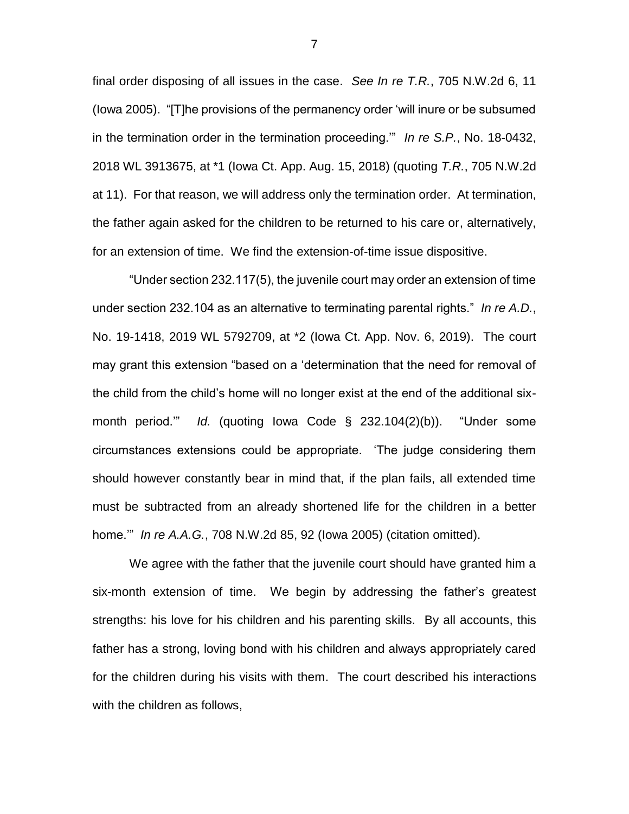final order disposing of all issues in the case. *See In re T.R.*, 705 N.W.2d 6, 11 (Iowa 2005). "[T]he provisions of the permanency order 'will inure or be subsumed in the termination order in the termination proceeding.'" *In re S.P.*, No. 18-0432, 2018 WL 3913675, at \*1 (Iowa Ct. App. Aug. 15, 2018) (quoting *T.R.*, 705 N.W.2d at 11). For that reason, we will address only the termination order. At termination, the father again asked for the children to be returned to his care or, alternatively, for an extension of time. We find the extension-of-time issue dispositive.

"Under section 232.117(5), the juvenile court may order an extension of time under section 232.104 as an alternative to terminating parental rights." *In re A.D.*, No. 19-1418, 2019 WL 5792709, at \*2 (Iowa Ct. App. Nov. 6, 2019). The court may grant this extension "based on a 'determination that the need for removal of the child from the child's home will no longer exist at the end of the additional sixmonth period.'" *Id.* (quoting Iowa Code § 232.104(2)(b)). "Under some circumstances extensions could be appropriate. 'The judge considering them should however constantly bear in mind that, if the plan fails, all extended time must be subtracted from an already shortened life for the children in a better home.'" *In re A.A.G.*, 708 N.W.2d 85, 92 (Iowa 2005) (citation omitted).

We agree with the father that the juvenile court should have granted him a six-month extension of time. We begin by addressing the father's greatest strengths: his love for his children and his parenting skills. By all accounts, this father has a strong, loving bond with his children and always appropriately cared for the children during his visits with them. The court described his interactions with the children as follows,

7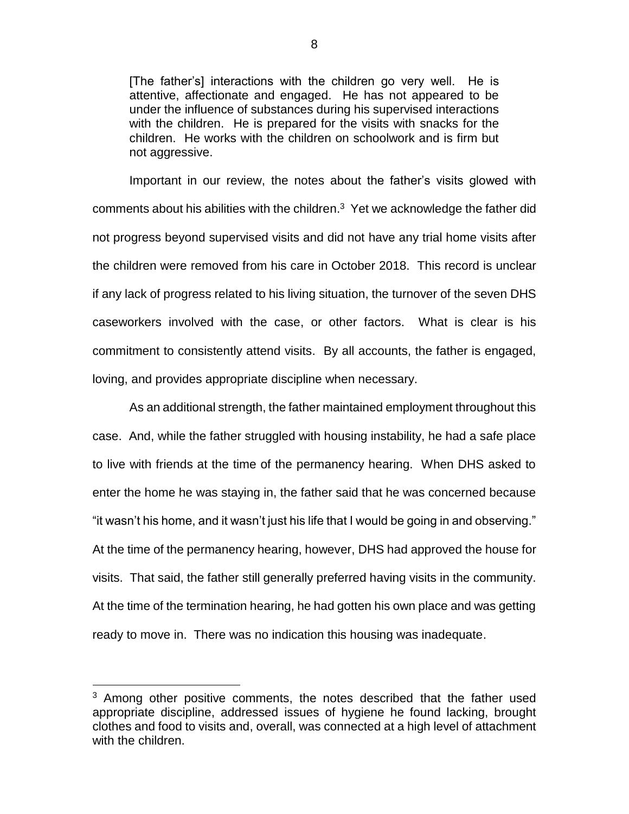[The father's] interactions with the children go very well. He is attentive, affectionate and engaged. He has not appeared to be under the influence of substances during his supervised interactions with the children. He is prepared for the visits with snacks for the children. He works with the children on schoolwork and is firm but not aggressive.

Important in our review, the notes about the father's visits glowed with comments about his abilities with the children. $3$  Yet we acknowledge the father did not progress beyond supervised visits and did not have any trial home visits after the children were removed from his care in October 2018. This record is unclear if any lack of progress related to his living situation, the turnover of the seven DHS caseworkers involved with the case, or other factors. What is clear is his commitment to consistently attend visits. By all accounts, the father is engaged, loving, and provides appropriate discipline when necessary.

As an additional strength, the father maintained employment throughout this case. And, while the father struggled with housing instability, he had a safe place to live with friends at the time of the permanency hearing. When DHS asked to enter the home he was staying in, the father said that he was concerned because "it wasn't his home, and it wasn't just his life that I would be going in and observing." At the time of the permanency hearing, however, DHS had approved the house for visits. That said, the father still generally preferred having visits in the community. At the time of the termination hearing, he had gotten his own place and was getting ready to move in. There was no indication this housing was inadequate.

 $3$  Among other positive comments, the notes described that the father used appropriate discipline, addressed issues of hygiene he found lacking, brought clothes and food to visits and, overall, was connected at a high level of attachment with the children.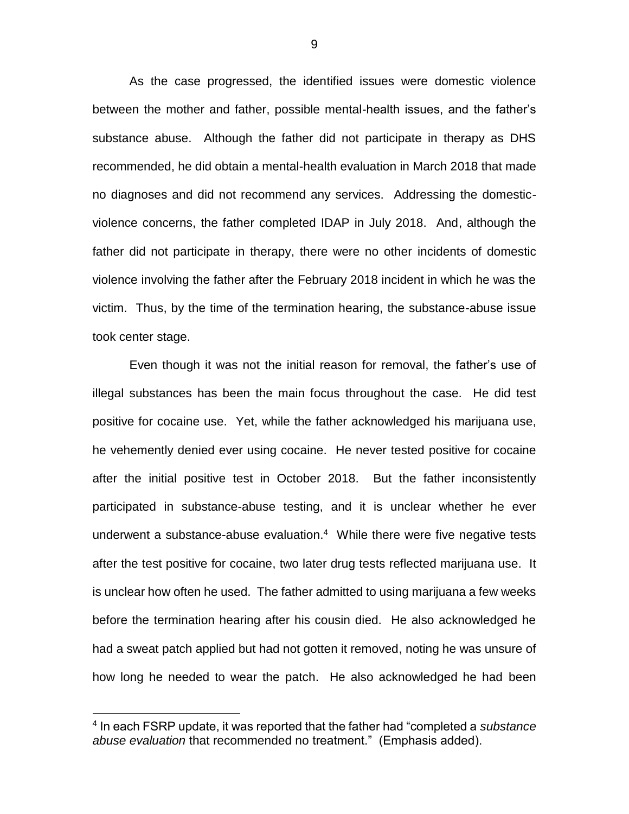As the case progressed, the identified issues were domestic violence between the mother and father, possible mental-health issues, and the father's substance abuse. Although the father did not participate in therapy as DHS recommended, he did obtain a mental-health evaluation in March 2018 that made no diagnoses and did not recommend any services. Addressing the domesticviolence concerns, the father completed IDAP in July 2018. And, although the father did not participate in therapy, there were no other incidents of domestic violence involving the father after the February 2018 incident in which he was the victim. Thus, by the time of the termination hearing, the substance-abuse issue took center stage.

Even though it was not the initial reason for removal, the father's use of illegal substances has been the main focus throughout the case. He did test positive for cocaine use. Yet, while the father acknowledged his marijuana use, he vehemently denied ever using cocaine. He never tested positive for cocaine after the initial positive test in October 2018. But the father inconsistently participated in substance-abuse testing, and it is unclear whether he ever underwent a substance-abuse evaluation.<sup>4</sup> While there were five negative tests after the test positive for cocaine, two later drug tests reflected marijuana use. It is unclear how often he used. The father admitted to using marijuana a few weeks before the termination hearing after his cousin died. He also acknowledged he had a sweat patch applied but had not gotten it removed, noting he was unsure of how long he needed to wear the patch. He also acknowledged he had been

<sup>4</sup> In each FSRP update, it was reported that the father had "completed a *substance abuse evaluation* that recommended no treatment." (Emphasis added).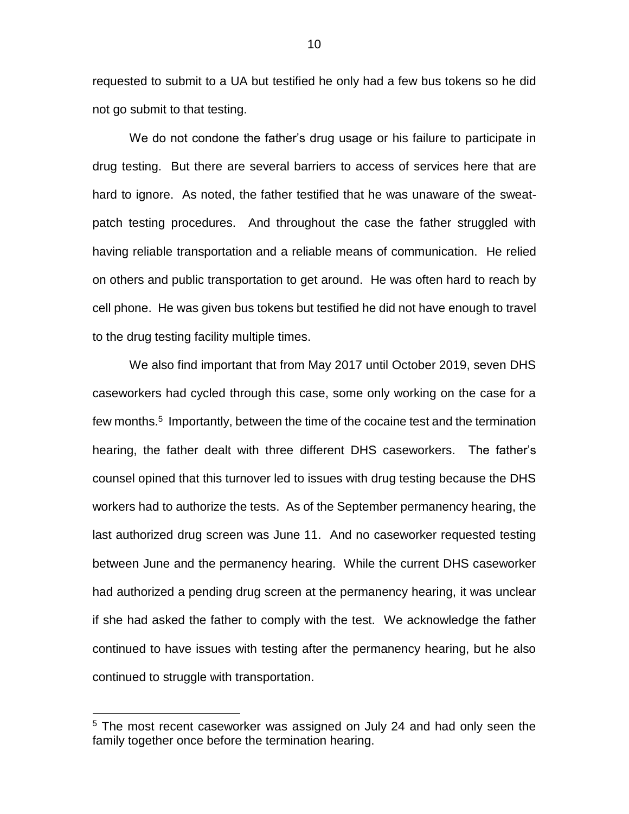requested to submit to a UA but testified he only had a few bus tokens so he did not go submit to that testing.

We do not condone the father's drug usage or his failure to participate in drug testing. But there are several barriers to access of services here that are hard to ignore. As noted, the father testified that he was unaware of the sweatpatch testing procedures. And throughout the case the father struggled with having reliable transportation and a reliable means of communication. He relied on others and public transportation to get around. He was often hard to reach by cell phone. He was given bus tokens but testified he did not have enough to travel to the drug testing facility multiple times.

We also find important that from May 2017 until October 2019, seven DHS caseworkers had cycled through this case, some only working on the case for a few months.<sup>5</sup> Importantly, between the time of the cocaine test and the termination hearing, the father dealt with three different DHS caseworkers. The father's counsel opined that this turnover led to issues with drug testing because the DHS workers had to authorize the tests. As of the September permanency hearing, the last authorized drug screen was June 11. And no caseworker requested testing between June and the permanency hearing. While the current DHS caseworker had authorized a pending drug screen at the permanency hearing, it was unclear if she had asked the father to comply with the test. We acknowledge the father continued to have issues with testing after the permanency hearing, but he also continued to struggle with transportation.

<sup>&</sup>lt;sup>5</sup> The most recent caseworker was assigned on July 24 and had only seen the family together once before the termination hearing.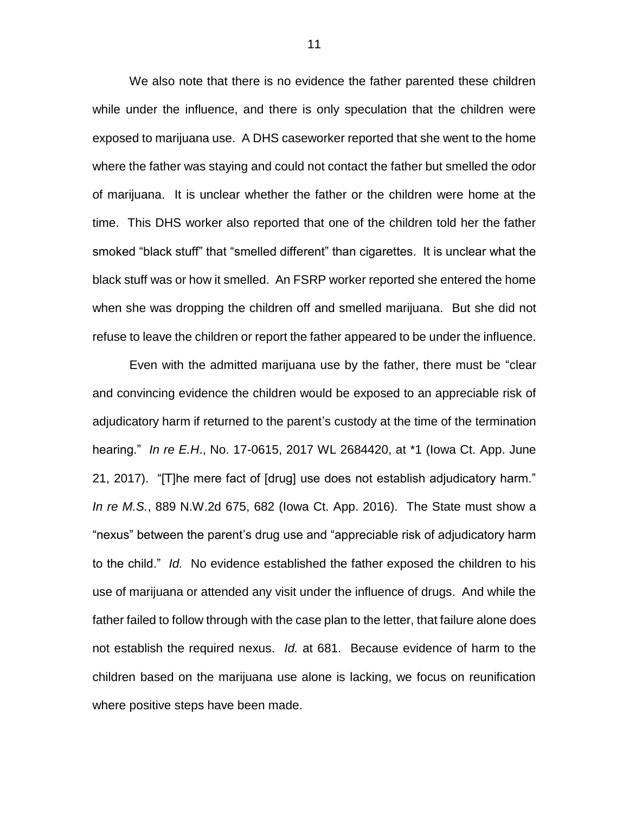We also note that there is no evidence the father parented these children while under the influence, and there is only speculation that the children were exposed to marijuana use. A DHS caseworker reported that she went to the home where the father was staying and could not contact the father but smelled the odor of marijuana. It is unclear whether the father or the children were home at the time. This DHS worker also reported that one of the children told her the father smoked "black stuff" that "smelled different" than cigarettes. It is unclear what the black stuff was or how it smelled. An FSRP worker reported she entered the home when she was dropping the children off and smelled marijuana. But she did not refuse to leave the children or report the father appeared to be under the influence.

Even with the admitted marijuana use by the father, there must be "clear and convincing evidence the children would be exposed to an appreciable risk of adjudicatory harm if returned to the parent's custody at the time of the termination hearing." *In re E.H*., No. 17-0615, 2017 WL 2684420, at \*1 (Iowa Ct. App. June 21, 2017). "[T]he mere fact of [drug] use does not establish adjudicatory harm." *In re M.S.*, 889 N.W.2d 675, 682 (Iowa Ct. App. 2016). The State must show a "nexus" between the parent's drug use and "appreciable risk of adjudicatory harm to the child." *Id.* No evidence established the father exposed the children to his use of marijuana or attended any visit under the influence of drugs. And while the father failed to follow through with the case plan to the letter, that failure alone does not establish the required nexus. *Id.* at 681. Because evidence of harm to the children based on the marijuana use alone is lacking, we focus on reunification where positive steps have been made.

11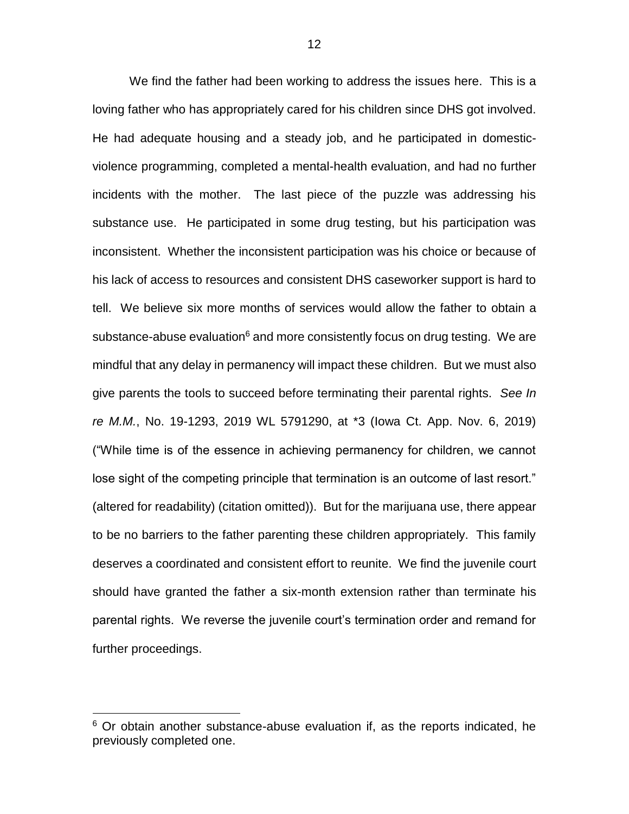We find the father had been working to address the issues here. This is a loving father who has appropriately cared for his children since DHS got involved. He had adequate housing and a steady job, and he participated in domesticviolence programming, completed a mental-health evaluation, and had no further incidents with the mother. The last piece of the puzzle was addressing his substance use. He participated in some drug testing, but his participation was inconsistent. Whether the inconsistent participation was his choice or because of his lack of access to resources and consistent DHS caseworker support is hard to tell. We believe six more months of services would allow the father to obtain a substance-abuse evaluation $6$  and more consistently focus on drug testing. We are mindful that any delay in permanency will impact these children. But we must also give parents the tools to succeed before terminating their parental rights. *See In re M.M.*, No. 19-1293, 2019 WL 5791290, at \*3 (Iowa Ct. App. Nov. 6, 2019) ("While time is of the essence in achieving permanency for children, we cannot lose sight of the competing principle that termination is an outcome of last resort." (altered for readability) (citation omitted)). But for the marijuana use, there appear to be no barriers to the father parenting these children appropriately. This family deserves a coordinated and consistent effort to reunite. We find the juvenile court should have granted the father a six-month extension rather than terminate his parental rights. We reverse the juvenile court's termination order and remand for further proceedings.

 $6$  Or obtain another substance-abuse evaluation if, as the reports indicated, he previously completed one.